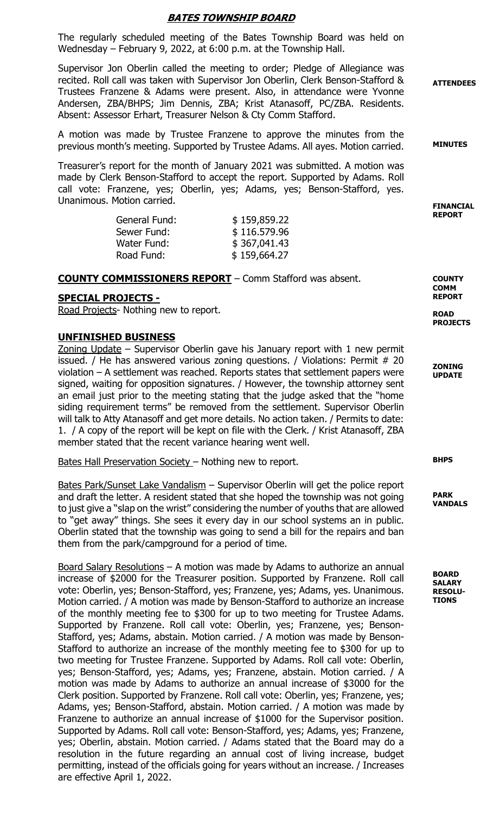## BATES TOWNSHIP BOARD

The regularly scheduled meeting of the Bates Township Board was held on Wednesday – February 9, 2022, at 6:00 p.m. at the Township Hall.

Supervisor Jon Oberlin called the meeting to order; Pledge of Allegiance was recited. Roll call was taken with Supervisor Jon Oberlin, Clerk Benson-Stafford & Trustees Franzene & Adams were present. Also, in attendance were Yvonne Andersen, ZBA/BHPS; Jim Dennis, ZBA; Krist Atanasoff, PC/ZBA. Residents. Absent: Assessor Erhart, Treasurer Nelson & Cty Comm Stafford.

A motion was made by Trustee Franzene to approve the minutes from the previous month's meeting. Supported by Trustee Adams. All ayes. Motion carried.

Treasurer's report for the month of January 2021 was submitted. A motion was made by Clerk Benson-Stafford to accept the report. Supported by Adams. Roll call vote: Franzene, yes; Oberlin, yes; Adams, yes; Benson-Stafford, yes. Unanimous. Motion carried.

| General Fund: | \$159,859.22 |
|---------------|--------------|
| Sewer Fund:   | \$116.579.96 |
| Water Fund:   | \$367,041.43 |
| Road Fund:    | \$159,664.27 |

#### COUNTY COMMISSIONERS REPORT – Comm Stafford was absent.

#### SPECIAL PROJECTS -

Road Projects- Nothing new to report.

#### UNFINISHED BUSINESS

Zoning Update – Supervisor Oberlin gave his January report with 1 new permit issued. / He has answered various zoning questions. / Violations: Permit # 20 violation – A settlement was reached. Reports states that settlement papers were signed, waiting for opposition signatures. / However, the township attorney sent an email just prior to the meeting stating that the judge asked that the "home siding requirement terms" be removed from the settlement. Supervisor Oberlin will talk to Atty Atanasoff and get more details. No action taken. / Permits to date: 1. / A copy of the report will be kept on file with the Clerk. / Krist Atanasoff, ZBA member stated that the recent variance hearing went well.

Bates Hall Preservation Society – Nothing new to report.

Bates Park/Sunset Lake Vandalism – Supervisor Oberlin will get the police report and draft the letter. A resident stated that she hoped the township was not going to just give a "slap on the wrist" considering the number of youths that are allowed to "get away" things. She sees it every day in our school systems an in public. Oberlin stated that the township was going to send a bill for the repairs and ban them from the park/campground for a period of time.

Board Salary Resolutions – A motion was made by Adams to authorize an annual increase of \$2000 for the Treasurer position. Supported by Franzene. Roll call vote: Oberlin, yes; Benson-Stafford, yes; Franzene, yes; Adams, yes. Unanimous. Motion carried. / A motion was made by Benson-Stafford to authorize an increase of the monthly meeting fee to \$300 for up to two meeting for Trustee Adams. Supported by Franzene. Roll call vote: Oberlin, yes; Franzene, yes; Benson-Stafford, yes; Adams, abstain. Motion carried. / A motion was made by Benson-Stafford to authorize an increase of the monthly meeting fee to \$300 for up to two meeting for Trustee Franzene. Supported by Adams. Roll call vote: Oberlin, yes; Benson-Stafford, yes; Adams, yes; Franzene, abstain. Motion carried. / A motion was made by Adams to authorize an annual increase of \$3000 for the Clerk position. Supported by Franzene. Roll call vote: Oberlin, yes; Franzene, yes; Adams, yes; Benson-Stafford, abstain. Motion carried. / A motion was made by Franzene to authorize an annual increase of \$1000 for the Supervisor position. Supported by Adams. Roll call vote: Benson-Stafford, yes; Adams, yes; Franzene, yes; Oberlin, abstain. Motion carried. / Adams stated that the Board may do a resolution in the future regarding an annual cost of living increase, budget permitting, instead of the officials going for years without an increase. / Increases are effective April 1, 2022.

**ATTENDEES** 

MINUTES

FINANCIAL REPORT

**COUNTY COMM** REPORT

ROAD PROJECTS

ZONING UPDATE

BHPS

PARK VANDALS

BOARD SALARY RESOLU-**TIONS**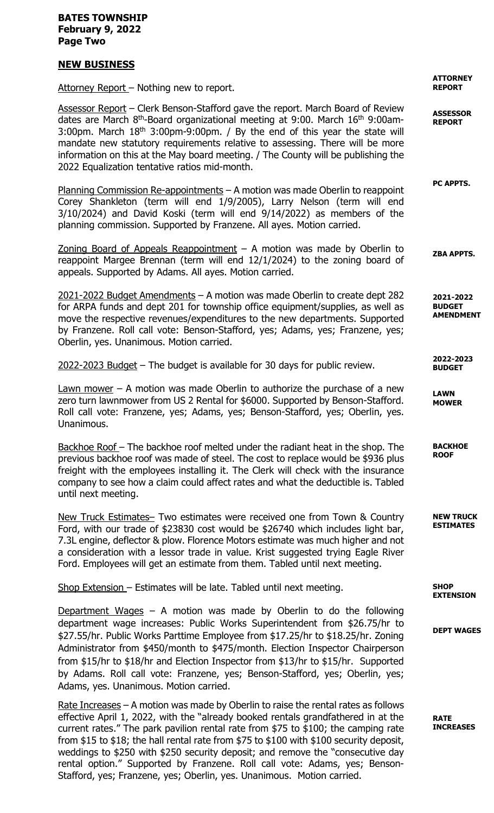### BATES TOWNSHIP February 9, 2022 Page Two

## NEW BUSINESS

Attorney Report - Nothing new to report.

Assessor Report - Clerk Benson-Stafford gave the report. March Board of Review dates are March 8<sup>th</sup>-Board organizational meeting at 9:00. March 16<sup>th</sup> 9:00am-3:00pm. March  $18<sup>th</sup>$  3:00pm-9:00pm. / By the end of this year the state will mandate new statutory requirements relative to assessing. There will be more information on this at the May board meeting. / The County will be publishing the 2022 Equalization tentative ratios mid-month.

Planning Commission Re-appointments – A motion was made Oberlin to reappoint Corey Shankleton (term will end 1/9/2005), Larry Nelson (term will end 3/10/2024) and David Koski (term will end 9/14/2022) as members of the planning commission. Supported by Franzene. All ayes. Motion carried.

Zoning Board of Appeals Reappointment  $-$  A motion was made by Oberlin to reappoint Margee Brennan (term will end 12/1/2024) to the zoning board of appeals. Supported by Adams. All ayes. Motion carried.

2021-2022 Budget Amendments – A motion was made Oberlin to create dept 282 for ARPA funds and dept 201 for township office equipment/supplies, as well as move the respective revenues/expenditures to the new departments. Supported by Franzene. Roll call vote: Benson-Stafford, yes; Adams, yes; Franzene, yes; Oberlin, yes. Unanimous. Motion carried.

2022-2023 Budget – The budget is available for 30 days for public review.

Lawn mower – A motion was made Oberlin to authorize the purchase of a new zero turn lawnmower from US 2 Rental for \$6000. Supported by Benson-Stafford. Roll call vote: Franzene, yes; Adams, yes; Benson-Stafford, yes; Oberlin, yes. Unanimous.

Backhoe Roof – The backhoe roof melted under the radiant heat in the shop. The previous backhoe roof was made of steel. The cost to replace would be \$936 plus freight with the employees installing it. The Clerk will check with the insurance company to see how a claim could affect rates and what the deductible is. Tabled until next meeting.

New Truck Estimates– Two estimates were received one from Town & Country Ford, with our trade of \$23830 cost would be \$26740 which includes light bar, 7.3L engine, deflector & plow. Florence Motors estimate was much higher and not a consideration with a lessor trade in value. Krist suggested trying Eagle River Ford. Employees will get an estimate from them. Tabled until next meeting.

Shop Extension – Estimates will be late. Tabled until next meeting.

Department Wages  $-$  A motion was made by Oberlin to do the following department wage increases: Public Works Superintendent from \$26.75/hr to \$27.55/hr. Public Works Parttime Employee from \$17.25/hr to \$18.25/hr. Zoning Administrator from \$450/month to \$475/month. Election Inspector Chairperson from \$15/hr to \$18/hr and Election Inspector from \$13/hr to \$15/hr. Supported by Adams. Roll call vote: Franzene, yes; Benson-Stafford, yes; Oberlin, yes; Adams, yes. Unanimous. Motion carried.

Rate Increases – A motion was made by Oberlin to raise the rental rates as follows effective April 1, 2022, with the "already booked rentals grandfathered in at the current rates." The park pavilion rental rate from \$75 to \$100; the camping rate from \$15 to \$18; the hall rental rate from \$75 to \$100 with \$100 security deposit, weddings to \$250 with \$250 security deposit; and remove the "consecutive day rental option." Supported by Franzene. Roll call vote: Adams, yes; Benson-Stafford, yes; Franzene, yes; Oberlin, yes. Unanimous. Motion carried.

**ATTORNEY** REPORT

ASSESSOR REPORT

PC APPTS.

ZBA APPTS.

2021-2022 **BUDGET** AMENDMENT

2022-2023 BUDGET

LAWN MOWER

**BACKHOE** ROOF

ESTIMATES

NEW TRUCK

**SHOP** EXTENSION

DEPT WAGES

RATE INCREASES